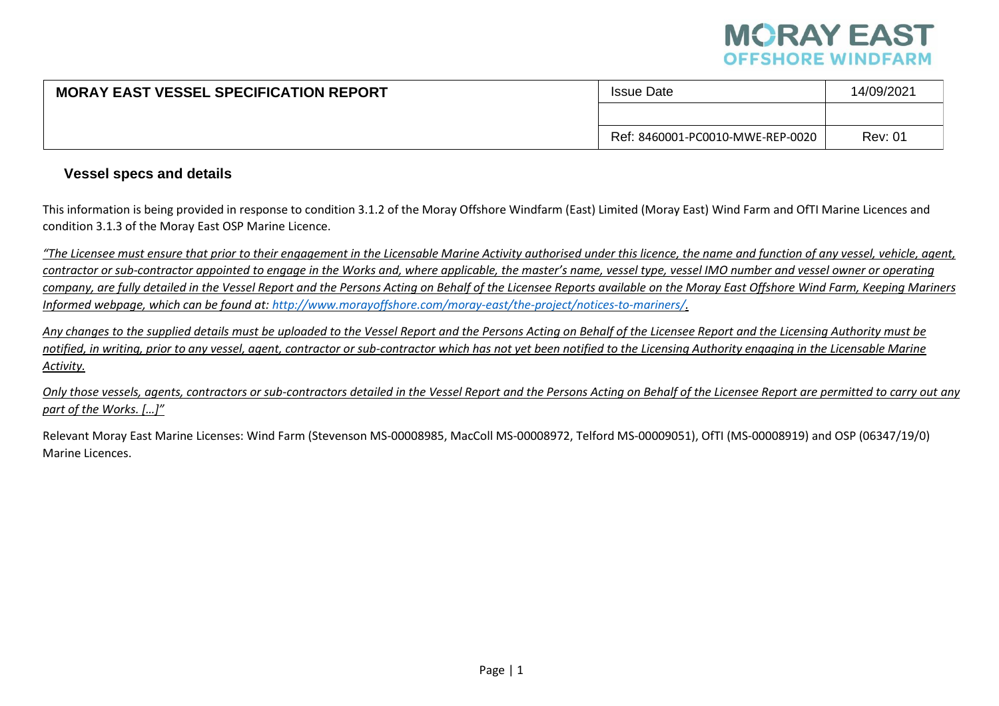

| <b>MORAY EAST VESSEL SPECIFICATION REPORT</b> | <b>Issue Date</b>                | 4/09/2021      |  |
|-----------------------------------------------|----------------------------------|----------------|--|
|                                               |                                  |                |  |
|                                               | Ref: 8460001-PC0010-MWE-REP-0020 | <b>Rev: 01</b> |  |

## **Vessel specs and details**

This information is being provided in response to condition 3.1.2 of the Moray Offshore Windfarm (East) Limited (Moray East) Wind Farm and OfTI Marine Licences and condition 3.1.3 of the Moray East OSP Marine Licence.

*"The Licensee must ensure that prior to their engagement in the Licensable Marine Activity authorised under this licence, the name and function of any vessel, vehicle, agent, contractor or sub-contractor appointed to engage in the Works and, where applicable, the master's name, vessel type, vessel IMO number and vessel owner or operating company, are fully detailed in the Vessel Report and the Persons Acting on Behalf of the Licensee Reports available on the Moray East Offshore Wind Farm, Keeping Mariners Informed webpage, which can be found at: [http://www.morayoffshore.com/moray-east/the-project/notices-to-mariners/.](http://www.morayoffshore.com/moray-east/the-project/notices-to-mariners/)*

*Any changes to the supplied details must be uploaded to the Vessel Report and the Persons Acting on Behalf of the Licensee Report and the Licensing Authority must be* notified, in writing, prior to any vessel, agent, contractor or sub-contractor which has not yet been notified to the Licensing Authority engaging in the Licensable Marine *Activity.*

*Only those vessels, agents, contractors or sub-contractors detailed in the Vessel Report and the Persons Acting on Behalf of the Licensee Report are permitted to carry out any part of the Works. […]"*

Relevant Moray East Marine Licenses: Wind Farm (Stevenson MS-00008985, MacColl MS-00008972, Telford MS-00009051), OfTI (MS-00008919) and OSP (06347/19/0) Marine Licences.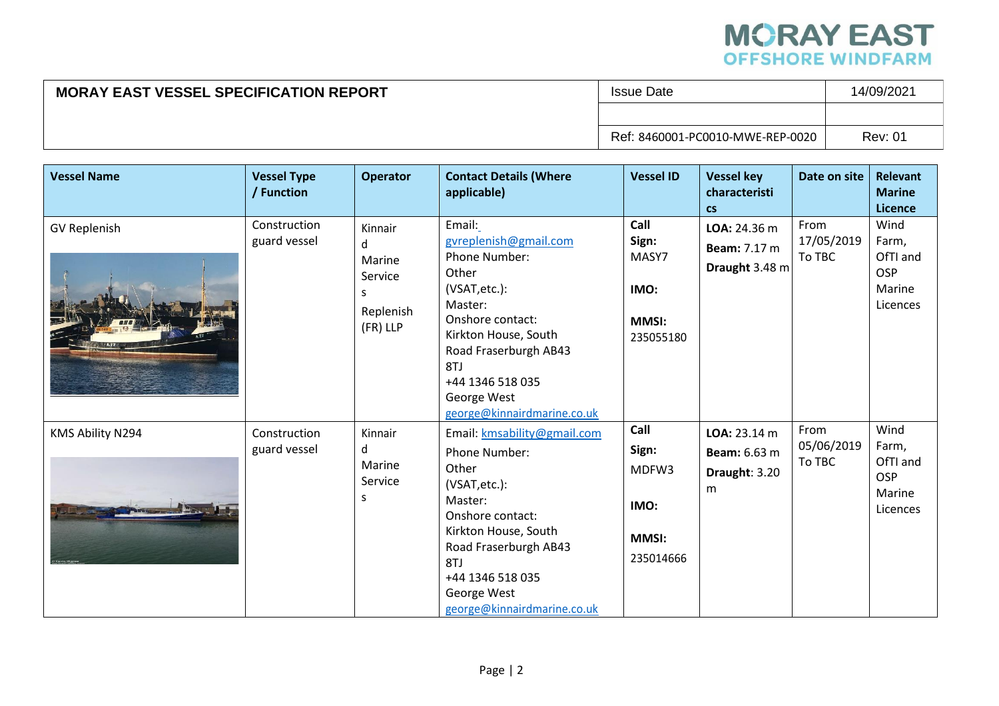

## **MORAY EAST VESSEL SPECIFICATION REPORT ISSUE Date** 14/09/2021 Ref: 8460001-PC0010-MWE-REP-0020 Rev: 01

| <b>Vessel Name</b>  | <b>Vessel Type</b><br>/ Function | <b>Operator</b>                                                  | <b>Contact Details (Where</b><br>applicable)                                                                                                                                                                                        | <b>Vessel ID</b>                                            | <b>Vessel key</b><br>characteristi<br><b>CS</b>           | Date on site                 | <b>Relevant</b><br><b>Marine</b><br>Licence                   |
|---------------------|----------------------------------|------------------------------------------------------------------|-------------------------------------------------------------------------------------------------------------------------------------------------------------------------------------------------------------------------------------|-------------------------------------------------------------|-----------------------------------------------------------|------------------------------|---------------------------------------------------------------|
| <b>GV Replenish</b> | Construction<br>guard vessel     | Kinnair<br>d<br>Marine<br>Service<br>S.<br>Replenish<br>(FR) LLP | Email:<br>gvreplenish@gmail.com<br>Phone Number:<br>Other<br>(VSAT, etc.):<br>Master:<br>Onshore contact:<br>Kirkton House, South<br>Road Fraserburgh AB43<br>8TJ<br>+44 1346 518 035<br>George West<br>george@kinnairdmarine.co.uk | Call<br>Sign:<br>MASY7<br>IMO:<br><b>MMSI:</b><br>235055180 | LOA: 24.36 m<br><b>Beam:</b> 7.17 m<br>Draught 3.48 m     | From<br>17/05/2019<br>To TBC | Wind<br>Farm,<br>OfTI and<br><b>OSP</b><br>Marine<br>Licences |
| KMS Ability N294    | Construction<br>guard vessel     | Kinnair<br>d<br>Marine<br>Service<br>S                           | Email: kmsability@gmail.com<br>Phone Number:<br>Other<br>(VSAT, etc.):<br>Master:<br>Onshore contact:<br>Kirkton House, South<br>Road Fraserburgh AB43<br>8TJ<br>+44 1346 518 035<br>George West<br>george@kinnairdmarine.co.uk     | Call<br>Sign:<br>MDFW3<br>IMO:<br><b>MMSI:</b><br>235014666 | LOA: 23.14 m<br><b>Beam:</b> 6.63 m<br>Draught: 3.20<br>m | From<br>05/06/2019<br>To TBC | Wind<br>Farm,<br>OfTI and<br><b>OSP</b><br>Marine<br>Licences |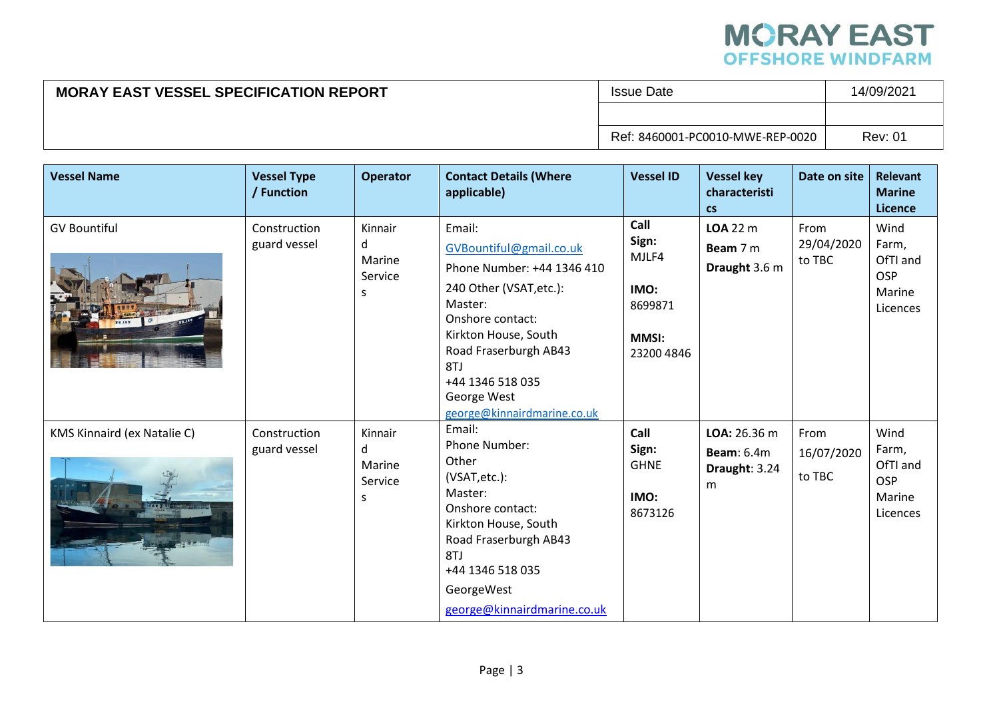

| <b>MORAY EAST VESSEL SPECIFICATION REPORT</b> | <b>Issue Date</b>                | 14/09/2021     |  |
|-----------------------------------------------|----------------------------------|----------------|--|
|                                               |                                  |                |  |
|                                               | Ref: 8460001-PC0010-MWE-REP-0020 | <b>Rev: 01</b> |  |

| <b>Vessel Name</b>          | <b>Vessel Type</b><br>/ Function | <b>Operator</b>                        | <b>Contact Details (Where</b><br>applicable)                                                                                                                                                                                                        | <b>Vessel ID</b>                                                        | <b>Vessel key</b><br>characteristi<br>$\mathsf{CS}\phantom{0}$ | Date on site                 | <b>Relevant</b><br><b>Marine</b><br><b>Licence</b>            |
|-----------------------------|----------------------------------|----------------------------------------|-----------------------------------------------------------------------------------------------------------------------------------------------------------------------------------------------------------------------------------------------------|-------------------------------------------------------------------------|----------------------------------------------------------------|------------------------------|---------------------------------------------------------------|
| <b>GV Bountiful</b>         | Construction<br>guard vessel     | Kinnair<br>d<br>Marine<br>Service<br>S | Email:<br>GVBountiful@gmail.co.uk<br>Phone Number: +44 1346 410<br>240 Other (VSAT, etc.):<br>Master:<br>Onshore contact:<br>Kirkton House, South<br>Road Fraserburgh AB43<br>8TJ<br>+44 1346 518 035<br>George West<br>george@kinnairdmarine.co.uk | Call<br>Sign:<br>MJLF4<br>IMO:<br>8699871<br><b>MMSI:</b><br>23200 4846 | $LOA$ 22 $m$<br>Beam 7 m<br>Draught 3.6 m                      | From<br>29/04/2020<br>to TBC | Wind<br>Farm,<br>OfTI and<br><b>OSP</b><br>Marine<br>Licences |
| KMS Kinnaird (ex Natalie C) | Construction<br>guard vessel     | Kinnair<br>d<br>Marine<br>Service<br>S | Email:<br>Phone Number:<br>Other<br>(VSAT, etc.):<br>Master:<br>Onshore contact:<br>Kirkton House, South<br>Road Fraserburgh AB43<br>8TJ<br>+44 1346 518 035<br>GeorgeWest<br>george@kinnairdmarine.co.uk                                           | Call<br>Sign:<br><b>GHNE</b><br>IMO:<br>8673126                         | LOA: 26.36 m<br><b>Beam: 6.4m</b><br>Draught: 3.24<br>m        | From<br>16/07/2020<br>to TBC | Wind<br>Farm,<br>OfTI and<br><b>OSP</b><br>Marine<br>Licences |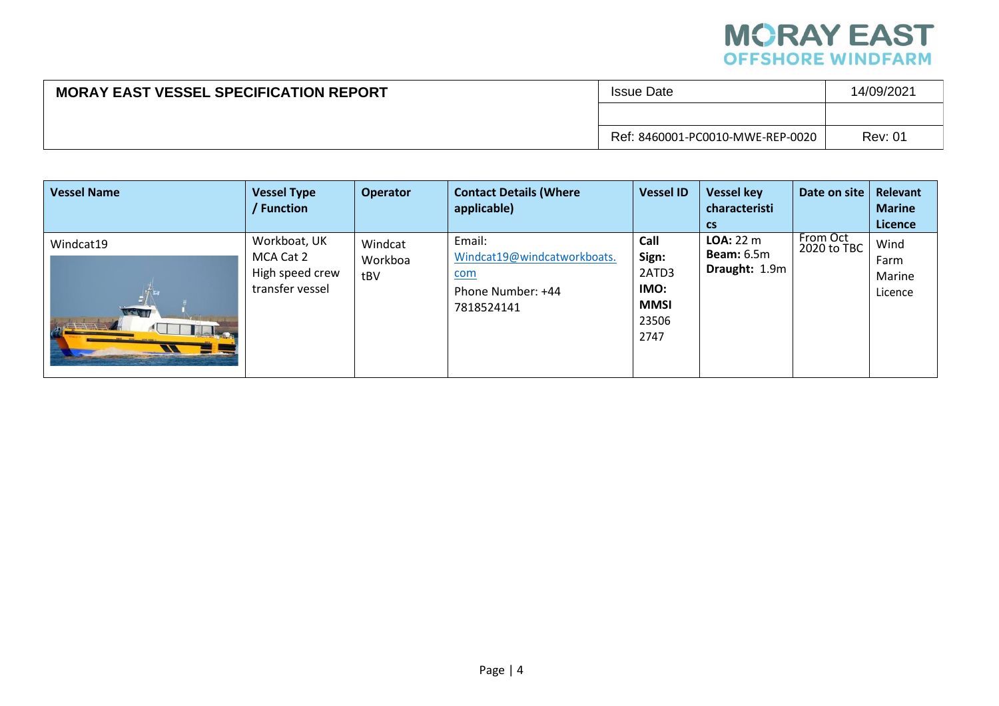

| <b>MORAY EAST VESSEL SPECIFICATION REPORT</b> | <b>Issue Date</b>                | 14/09/2021     |  |
|-----------------------------------------------|----------------------------------|----------------|--|
|                                               |                                  |                |  |
|                                               | Ref: 8460001-PC0010-MWE-REP-0020 | <b>Rev: 01</b> |  |

| <b>Vessel Name</b>                                    | <b>Vessel Type</b><br>Function                                  | <b>Operator</b>           | <b>Contact Details (Where</b><br>applicable)                                    | <b>Vessel ID</b>                                               | <b>Vessel key</b><br>characteristi<br><b>CS</b>        | Date on site            | Relevant<br><b>Marine</b><br><b>Licence</b> |
|-------------------------------------------------------|-----------------------------------------------------------------|---------------------------|---------------------------------------------------------------------------------|----------------------------------------------------------------|--------------------------------------------------------|-------------------------|---------------------------------------------|
| Windcat19<br><b>WASHI</b><br>$\frac{1}{\sqrt{1-\mu}}$ | Workboat, UK<br>MCA Cat 2<br>High speed crew<br>transfer vessel | Windcat<br>Workboa<br>tBV | Email:<br>Windcat19@windcatworkboats.<br>com<br>Phone Number: +44<br>7818524141 | Call<br>Sign:<br>2ATD3<br>IMO:<br><b>MMSI</b><br>23506<br>2747 | <b>LOA: 22 m</b><br><b>Beam: 6.5m</b><br>Draught: 1.9m | From Oct<br>2020 to TBC | Wind<br>Farm<br>Marine<br>Licence           |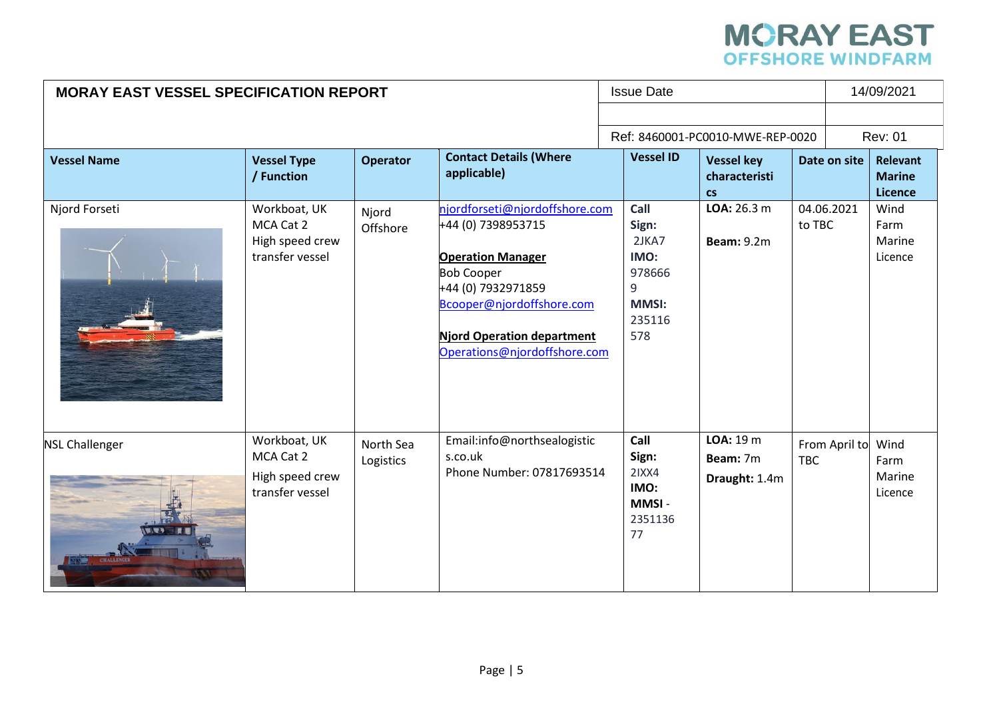## **MORAY EAST**<br>OFFSHORE WINDFARM

| <b>MORAY EAST VESSEL SPECIFICATION REPORT</b> |                                                                 |                        |                                                                                                                                                                                                                        |  | <b>Issue Date</b>                                                              |                                                 |            |               | 14/09/2021                                  |  |
|-----------------------------------------------|-----------------------------------------------------------------|------------------------|------------------------------------------------------------------------------------------------------------------------------------------------------------------------------------------------------------------------|--|--------------------------------------------------------------------------------|-------------------------------------------------|------------|---------------|---------------------------------------------|--|
|                                               |                                                                 |                        |                                                                                                                                                                                                                        |  |                                                                                |                                                 |            |               |                                             |  |
|                                               |                                                                 |                        |                                                                                                                                                                                                                        |  |                                                                                | Ref: 8460001-PC0010-MWE-REP-0020                |            |               | <b>Rev: 01</b>                              |  |
| <b>Vessel Name</b>                            | <b>Vessel Type</b><br>/ Function                                | <b>Operator</b>        | <b>Contact Details (Where</b><br>applicable)                                                                                                                                                                           |  | <b>Vessel ID</b>                                                               | <b>Vessel key</b><br>characteristi<br><b>CS</b> |            | Date on site  | Relevant<br><b>Marine</b><br><b>Licence</b> |  |
| Njord Forseti                                 | Workboat, UK<br>MCA Cat 2<br>High speed crew<br>transfer vessel | Njord<br>Offshore      | njordforseti@njordoffshore.com<br>+44 (0) 7398953715<br><b>Operation Manager</b><br><b>Bob Cooper</b><br>+44 (0) 7932971859<br>Bcooper@njordoffshore.com<br>Njord Operation department<br>Operations@njordoffshore.com |  | Call<br>Sign:<br>2JKA7<br>IMO:<br>978666<br>9<br><b>MMSI:</b><br>235116<br>578 | LOA: 26.3 m<br><b>Beam: 9.2m</b>                | to TBC     | 04.06.2021    | Wind<br>Farm<br>Marine<br>Licence           |  |
| <b>NSL Challenger</b>                         | Workboat, UK<br>MCA Cat 2<br>High speed crew<br>transfer vessel | North Sea<br>Logistics | Email:info@northsealogistic<br>s.co.uk<br>Phone Number: 07817693514                                                                                                                                                    |  | Call<br>Sign:<br>2IXX4<br>IMO:<br>MMSI-<br>2351136<br>77                       | LOA: 19 m<br>Beam: 7m<br>Draught: 1.4m          | <b>TBC</b> | From April to | Wind<br>Farm<br>Marine<br>Licence           |  |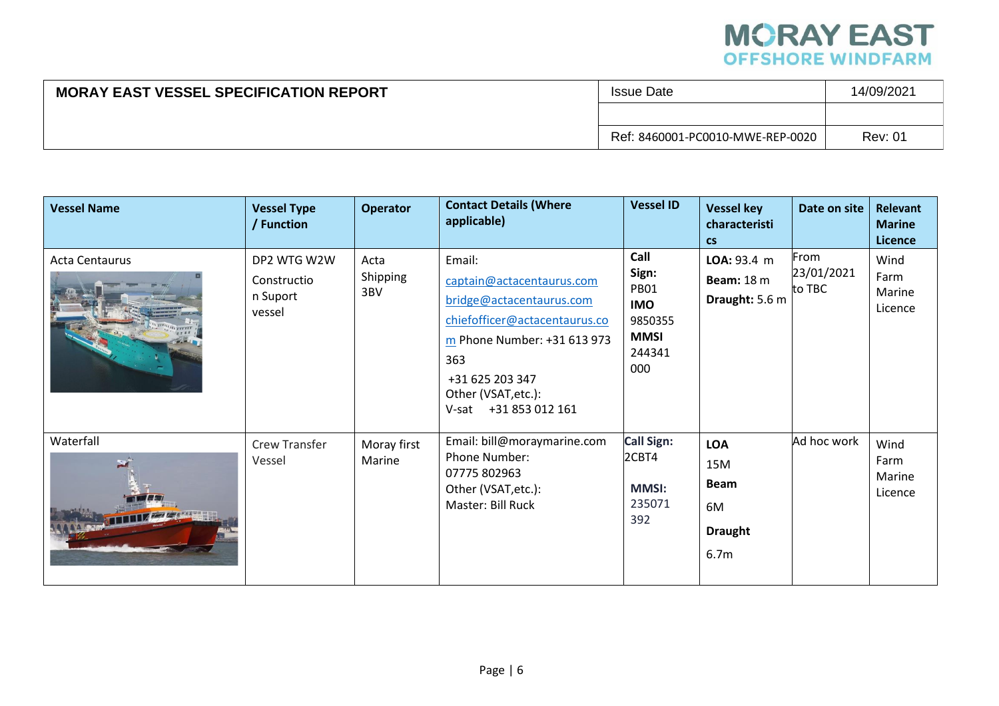

| <b>MORAY EAST VESSEL SPECIFICATION REPORT</b> | <b>Issue Date</b>                | 14/09/2021     |  |
|-----------------------------------------------|----------------------------------|----------------|--|
|                                               |                                  |                |  |
|                                               | Ref: 8460001-PC0010-MWE-REP-0020 | <b>Rev: 01</b> |  |

| <b>Vessel Name</b>    | <b>Vessel Type</b><br>/ Function                 | <b>Operator</b>         | <b>Contact Details (Where</b><br>applicable)                                                                                                                                                                 | <b>Vessel ID</b>                                                                      | <b>Vessel key</b><br>characteristi<br>$\mathsf{cs}$                          | Date on site                 | <b>Relevant</b><br><b>Marine</b><br><b>Licence</b> |
|-----------------------|--------------------------------------------------|-------------------------|--------------------------------------------------------------------------------------------------------------------------------------------------------------------------------------------------------------|---------------------------------------------------------------------------------------|------------------------------------------------------------------------------|------------------------------|----------------------------------------------------|
| <b>Acta Centaurus</b> | DP2 WTG W2W<br>Constructio<br>n Suport<br>vessel | Acta<br>Shipping<br>3BV | Email:<br>captain@actacentaurus.com<br>bridge@actacentaurus.com<br>chiefofficer@actacentaurus.co<br>m Phone Number: +31 613 973<br>363<br>+31 625 203 347<br>Other (VSAT, etc.):<br>+31 853 012 161<br>V-sat | Call<br>Sign:<br><b>PB01</b><br><b>IMO</b><br>9850355<br><b>MMSI</b><br>244341<br>000 | LOA: 93.4 m<br><b>Beam:</b> 18 m<br>Draught: 5.6 m                           | From<br>23/01/2021<br>to TBC | Wind<br>Farm<br>Marine<br>Licence                  |
| Waterfall             | <b>Crew Transfer</b><br>Vessel                   | Moray first<br>Marine   | Email: bill@moraymarine.com<br>Phone Number:<br>07775 802963<br>Other (VSAT, etc.):<br>Master: Bill Ruck                                                                                                     | <b>Call Sign:</b><br>2CBT4<br><b>MMSI:</b><br>235071<br>392                           | <b>LOA</b><br>15M<br><b>Beam</b><br>6M<br><b>Draught</b><br>6.7 <sub>m</sub> | Ad hoc work                  | Wind<br>Farm<br>Marine<br>Licence                  |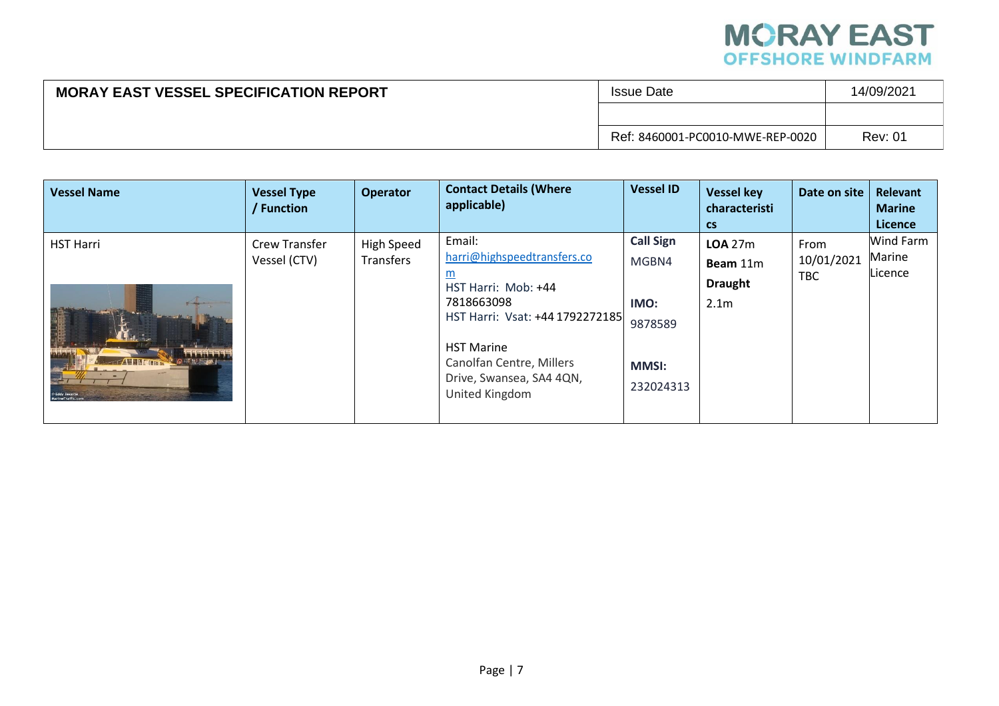

| <b>MORAY EAST VESSEL SPECIFICATION REPORT</b> | <b>Issue Date</b>                | 14/09/2021     |  |
|-----------------------------------------------|----------------------------------|----------------|--|
|                                               |                                  |                |  |
|                                               | Ref: 8460001-PC0010-MWE-REP-0020 | <b>Rev: 01</b> |  |

| <b>Vessel Name</b>                                                                                                             | <b>Vessel Type</b><br>/ Function     | <b>Operator</b>         | <b>Contact Details (Where</b><br>applicable)                                                                                                                                                                             | <b>Vessel ID</b>                                                          | <b>Vessel key</b><br>characteristi                                         | Date on site                     | Relevant<br><b>Marine</b>                               |
|--------------------------------------------------------------------------------------------------------------------------------|--------------------------------------|-------------------------|--------------------------------------------------------------------------------------------------------------------------------------------------------------------------------------------------------------------------|---------------------------------------------------------------------------|----------------------------------------------------------------------------|----------------------------------|---------------------------------------------------------|
| <b>HST Harri</b><br><b>EFFETEER</b><br>Le little d <mark>e</mark><br><b>AWRECISTION</b><br>n Eddy Decorte<br>MarineTraffic.com | <b>Crew Transfer</b><br>Vessel (CTV) | High Speed<br>Transfers | Email:<br>harri@highspeedtransfers.co<br><u>m</u><br>HST Harri: Mob: +44<br>7818663098<br>HST Harri: Vsat: +44 1792272185<br><b>HST Marine</b><br>Canolfan Centre, Millers<br>Drive, Swansea, SA4 4QN,<br>United Kingdom | <b>Call Sign</b><br>MGBN4<br>IMO:<br>9878589<br><b>MMSI:</b><br>232024313 | $\mathsf{CS}$<br>LOA 27m<br>Beam 11m<br><b>Draught</b><br>2.1 <sub>m</sub> | From<br>10/01/2021<br><b>TBC</b> | <b>Licence</b><br><b>Wind Farm</b><br>Marine<br>Licence |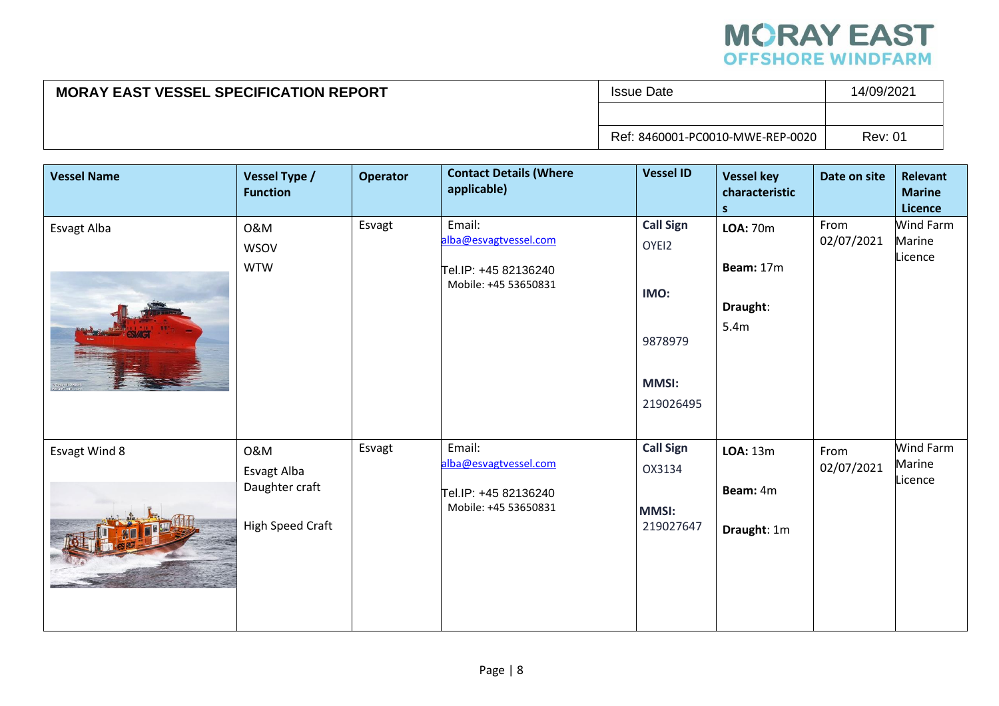

| <b>MORAY EAST VESSEL SPECIFICATION REPORT</b> | <b>Issue Date</b>                | 14/09/2021     |  |
|-----------------------------------------------|----------------------------------|----------------|--|
|                                               |                                  |                |  |
|                                               | Ref: 8460001-PC0010-MWE-REP-0020 | <b>Rev: 01</b> |  |

| <b>Vessel Name</b> | Vessel Type /<br><b>Function</b>                                | <b>Operator</b> | <b>Contact Details (Where</b><br>applicable)                                    | <b>Vessel ID</b>                                                          | <b>Vessel key</b><br>characteristic<br>S         | Date on site       | <b>Relevant</b><br><b>Marine</b><br>Licence |
|--------------------|-----------------------------------------------------------------|-----------------|---------------------------------------------------------------------------------|---------------------------------------------------------------------------|--------------------------------------------------|--------------------|---------------------------------------------|
| Esvagt Alba        | 0&M<br><b>WSOV</b><br><b>WTW</b>                                | Esvagt          | Email:<br>alba@esvagtvessel.com<br>Tel.IP: +45 82136240<br>Mobile: +45 53650831 | <b>Call Sign</b><br>OYEI2<br>IMO:<br>9878979<br><b>MMSI:</b><br>219026495 | <b>LOA: 70m</b><br>Beam: 17m<br>Draught:<br>5.4m | From<br>02/07/2021 | Wind Farm<br>Marine<br>Licence              |
| Esvagt Wind 8      | 0&M<br>Esvagt Alba<br>Daughter craft<br><b>High Speed Craft</b> | Esvagt          | Email:<br>alba@esvagtvessel.com<br>Tel.IP: +45 82136240<br>Mobile: +45 53650831 | <b>Call Sign</b><br>OX3134<br><b>MMSI:</b><br>219027647                   | <b>LOA: 13m</b><br>Beam: 4m<br>Draught: 1m       | From<br>02/07/2021 | Wind Farm<br>Marine<br>Licence              |